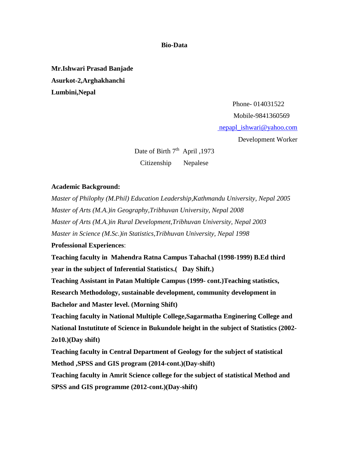**Bio-Data**

**Mr.Ishwari Prasad Banjade Asurkot-2,Arghakhanchi Lumbini,Nepal**

> Phone- 014031522 Mobile-9841360569 [nepapl\\_ishwari@yahoo.com](mailto:%20nepapl_ishwari@yahoo.com) Development Worker

Date of Birth  $7<sup>th</sup>$  April, 1973 Citizenship Nepalese

### **Academic Background:**

*Master of Philophy (M.Phil) Education Leadership,Kathmandu University, Nepal 2005 Master of Arts (M.A.)in Geography,Tribhuvan University, Nepal 2008 Master of Arts (M.A.)in Rural Development,Tribhuvan University, Nepal 2003 Master in Science (M.Sc.)in Statistics,Tribhuvan University, Nepal 1998* **Professional Experiences**: **Teaching faculty in Mahendra Ratna Campus Tahachal (1998-1999) B.Ed third year in the subject of Inferential Statistics.( Day Shift.) Teaching Assistant in Patan Multiple Campus (1999- cont.)Teaching statistics, Research Methodology, sustainable development, community development in Bachelor and Master level. (Morning Shift) Teaching faculty in National Multiple College,Sagarmatha Enginering College and National Instutitute of Science in Bukundole height in the subject of Statistics (2002- 2o10.)(Day shift) Teaching faculty in Central Department of Geology for the subject of statistical** 

**Method ,SPSS and GIS program (2014-cont.)(Day-shift)**

**Teaching faculty in Amrit Science college for the subject of statistical Method and SPSS and GIS programme (2012-cont.)(Day-shift)**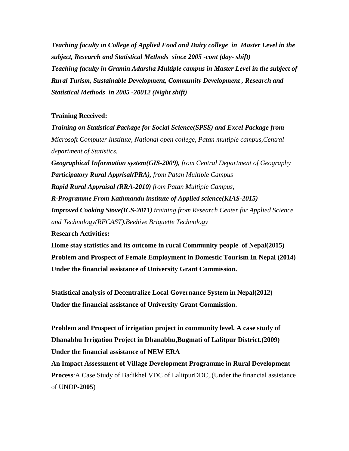*Teaching faculty in College of Applied Food and Dairy college in Master Level in the subject, Research and Statistical Methods since 2005 -cont (day- shift) Teaching faculty in Gramin Adarsha Multiple campus in Master Level in the subject of Rural Turism, Sustainable Development, Community Development , Research and Statistical Methods in 2005 -20012 (Night shift)*

## **Training Received:**

*Training on Statistical Package for Social Science(SPSS) and Excel Package from Microsoft Computer Institute, National open college, Patan multiple campus,Central department of Statistics.*

*Geographical Information system(GIS-2009), from Central Department of Geography Participatory Rural Apprisal(PRA), from Patan Multiple Campus Rapid Rural Appraisal (RRA-2010) from Patan Multiple Campus,* 

*R-Programme From Kathmandu institute of Applied science(KIAS-2015) Improved Cooking Stove(ICS-2011) training from Research Center for Applied Science and Technology(RECAST).Beehive Briquette Technology*

**Research Activities:**

**Home stay statistics and its outcome in rural Community people of Nepal(2015) Problem and Prospect of Female Employment in Domestic Tourism In Nepal (2014) Under the financial assistance of University Grant Commission.**

**Statistical analysis of Decentralize Local Governance System in Nepal(2012) Under the financial assistance of University Grant Commission.**

**Problem and Prospect of irrigation project in community level. A case study of Dhanabhu Irrigation Project in Dhanabhu,Bugmati of Lalitpur District.(2009) Under the financial assistance of NEW ERA**

**An Impact Assessment of Village Development Programme in Rural Development Process**:A Case Study of Badikhel VDC of LalitpurDDC,.(Under the financial assistance of UNDP-**2005**)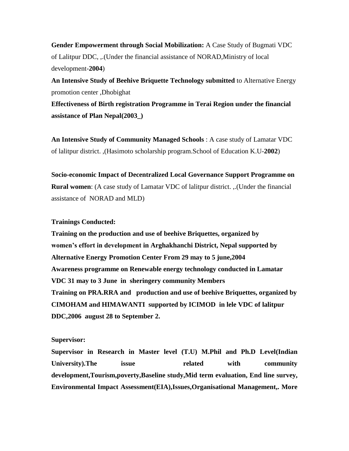**Gender Empowerment through Social Mobilization:** A Case Study of Bugmati VDC of Lalitpur DDC, ,.(Under the financial assistance of NORAD,Ministry of local development-**2004**)

**An Intensive Study of Beehive Briquette Technology submitted** to Alternative Energy promotion center ,Dhobighat

**Effectiveness of Birth registration Programme in Terai Region under the financial assistance of Plan Nepal(2003\_)**

**An Intensive Study of Community Managed Schools** : A case study of Lamatar VDC of lalitpur district. ,(Hasimoto scholarship program.School of Education K.U-**2002**)

**Socio-economic Impact of Decentralized Local Governance Support Programme on Rural women**: (A case study of Lamatar VDC of lalitpur district. ,.(Under the financial assistance of NORAD and MLD)

### **Trainings Conducted:**

**Training on the production and use of beehive Briquettes, organized by women's effort in development in Arghakhanchi District, Nepal supported by Alternative Energy Promotion Center From 29 may to 5 june,2004 Awareness programme on Renewable energy technology conducted in Lamatar VDC 31 may to 3 June in sheringery community Members Training on PRA.RRA and production and use of beehive Briquettes, organized by CIMOHAM and HIMAWANTI supported by ICIMOD in lele VDC of lalitpur DDC,2006 august 28 to September 2.**

#### **Supervisor:**

**Supervisor in Research in Master level (T.U) M.Phil and Ph.D Level(Indian**  University).The issue related with community **development,Tourism,poverty,Baseline study,Mid term evaluation, End line survey, Environmental Impact Assessment(EIA),Issues,Organisational Management,. More**